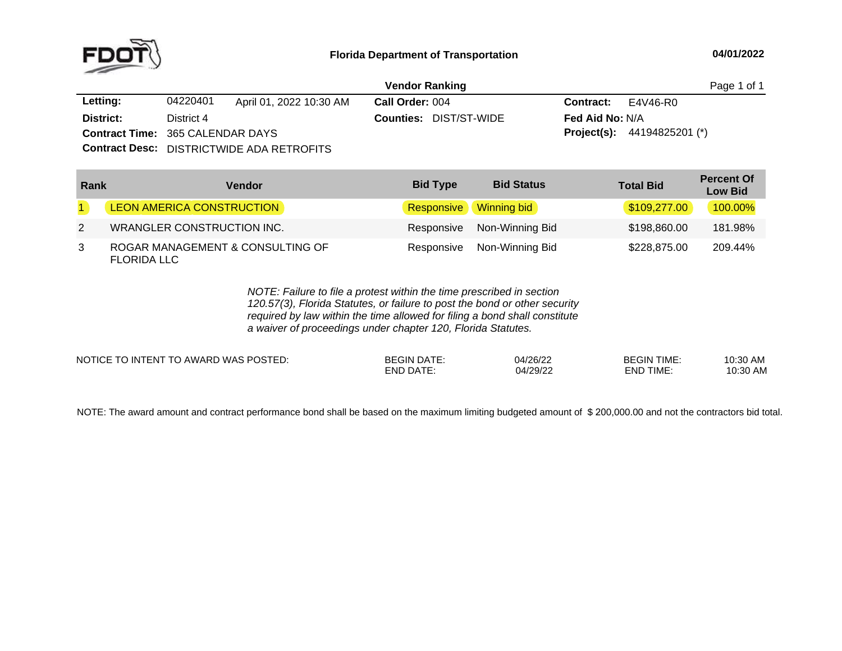

|                                         |            | Page 1 of 1                                      |                 |                               |                        |                                      |  |
|-----------------------------------------|------------|--------------------------------------------------|-----------------|-------------------------------|------------------------|--------------------------------------|--|
| Letting:                                | 04220401   | April 01, 2022 10:30 AM                          | Call Order: 004 |                               | <b>Contract:</b>       | E4V46-R0                             |  |
| District:                               | District 4 |                                                  |                 | <b>Counties: DIST/ST-WIDE</b> | <b>Fed Aid No: N/A</b> |                                      |  |
| <b>Contract Time: 365 CALENDAR DAYS</b> |            |                                                  |                 |                               |                        | <b>Project(s):</b> $44194825201$ (*) |  |
|                                         |            | <b>Contract Desc:</b> DISTRICTWIDE ADA RETROFITS |                 |                               |                        |                                      |  |

| Rank | <b>Vendor</b>                                          | <b>Bid Type</b>        | <b>Bid Status</b>          | <b>Total Bid</b> | <b>Percent Of</b><br><b>Low Bid</b> |
|------|--------------------------------------------------------|------------------------|----------------------------|------------------|-------------------------------------|
|      | LEON AMERICA CONSTRUCTION                              | Responsive Winning bid |                            | \$109,277.00     | 100.00%                             |
| 2    | <b>WRANGLER CONSTRUCTION INC.</b>                      |                        | Responsive Non-Winning Bid | \$198,860.00     | 181.98%                             |
| 3    | ROGAR MANAGEMENT & CONSULTING OF<br><b>FLORIDA LLC</b> | Responsive             | Non-Winning Bid            | \$228,875.00     | 209.44%                             |

*NOTE: Failure to file <sup>a</sup> protest within the time prescribed in section 120.57(3), Florida Statutes, or failure to post the bond or other security required by law within the time allowed for filing <sup>a</sup> bond shall constitute a waiver of proceedings under chapter 120, Florida Statutes.*

| NOTICE TO INTENT TO AWARD WAS POSTED: | <b>BEGIN DATE:</b> | 04/26/22 | <b>BEGIN TIME:</b> | 10:30 AM |
|---------------------------------------|--------------------|----------|--------------------|----------|
|                                       | END DATE:          | 04/29/22 | <b>END TIME:</b>   | 10:30 AM |
|                                       |                    |          |                    |          |

NOTE: The award amount and contract performance bond shall be based on the maximum limiting budgeted amount of \$ 200,000.00 and not the contractors bid total.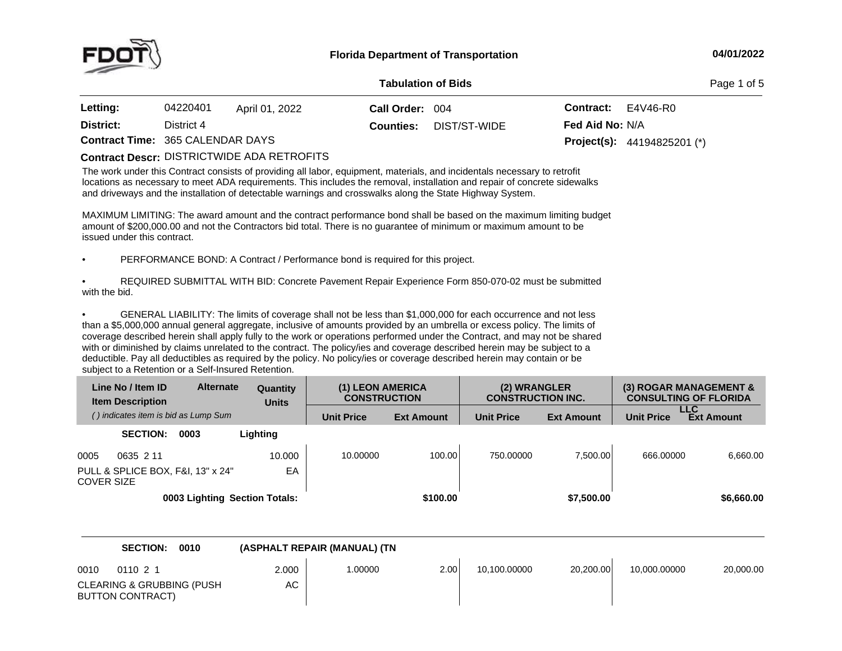

**of Bids** Page <sup>1</sup> of <sup>5</sup>

| <b>Letting:</b>                         | 04220401   | April 01, 2022 | Call Order: 004  |              | <b>Contract:</b> $E4V46-R0$ |                                      |
|-----------------------------------------|------------|----------------|------------------|--------------|-----------------------------|--------------------------------------|
| District:                               | District 4 |                | <b>Counties:</b> | DIST/ST-WIDE | <b>Fed Aid No: N/A</b>      |                                      |
| <b>Contract Time: 365 CALENDAR DAYS</b> |            |                |                  |              |                             | <b>Project(s):</b> $44194825201$ (*) |

DISTRICTWIDE ADA RETROFITS **Contract Descr:**

The work under this Contract consists of providing all labor, equipment, materials, and incidentals necessary to retrofit locations as necessary to meet ADA requirements. This includes the removal, installation and repair of concrete sidewalks and driveways and the installation of detectable warnings and crosswalks along the State Highway System.

MAXIMUM LIMITING: The award amount and the contract performance bond shall be based on the maximum limiting budget<br>amount of \$200,000,00 and not the Contractors bid total. There is no guarantee of minimum or maximum amount amount of \$200,000.00 and not the Contractors bid total. There is no guarantee of minimum or maximum amount to be<br>issued under this contrect issued under this contract.

•PERFORMANCE BOND: <sup>A</sup> Contract / Performance bond is required for this project.

• REQUIRED SUBMITTAL WITH BID: Concrete Pavement Repair Experience Form 850-070-02 must be submitted with the bid.

•GENERAL LIABILITY: The limits of coverage shall not be less than \$1,000,000 for each occurrence and not less than <sup>a</sup> \$5,000,000 annual general aggregate, inclusive of amounts provided by an umbrella or excess policy. The limits of coverage described herein shall apply fully to the work or operations performed under the Contract, and may not be shared with or diminished by claims unrelated to the contract. The policy/ies and coverage described herein may be subject to <sup>a</sup> deductible. Pay all deductibles as required by the policy. No policy/ies or coverage described herein may contain or be subject to <sup>a</sup> Retention or <sup>a</sup> Self-Insured Retention.

| Line No / Item ID<br><b>Item Description</b> |                 | <b>Alternate</b>                     | Quantity<br><b>Units</b>      | (1) LEON AMERICA<br><b>CONSTRUCTION</b> |                   | (2) WRANGLER<br><b>CONSTRUCTION INC.</b> |                   |                   | (3) ROGAR MANAGEMENT &<br><b>CONSULTING OF FLORIDA</b> |
|----------------------------------------------|-----------------|--------------------------------------|-------------------------------|-----------------------------------------|-------------------|------------------------------------------|-------------------|-------------------|--------------------------------------------------------|
|                                              |                 | () indicates item is bid as Lump Sum |                               | <b>Unit Price</b>                       | <b>Ext Amount</b> | <b>Unit Price</b>                        | <b>Ext Amount</b> | <b>Unit Price</b> | LLC<br><b>Ext Amount</b>                               |
|                                              | <b>SECTION:</b> | 0003                                 | Lighting                      |                                         |                   |                                          |                   |                   |                                                        |
| 0005                                         | 0635 2 11       |                                      | 10.000                        | 10.00000                                | 100.00            | 750.00000                                | 7.500.00          | 666,00000         | 6.660.00                                               |
| <b>COVER SIZE</b>                            |                 | PULL & SPLICE BOX, F&I, 13" x 24"    | EA                            |                                         |                   |                                          |                   |                   |                                                        |
|                                              |                 |                                      | 0003 Lighting Section Totals: |                                         | \$100.00          |                                          | \$7,500.00        |                   | \$6,660.00                                             |

|                          | <b>SECTION:</b><br>0010             |             | (ASPHALT REPAIR (MANUAL) (TN |      |              |           |              |           |
|--------------------------|-------------------------------------|-------------|------------------------------|------|--------------|-----------|--------------|-----------|
| 0010<br>BUTTON CONTRACT) | 011021<br>CLEARING & GRUBBING (PUSH | 2.000<br>АC | 1.00000                      | 2.00 | 10.100.00000 | 20.200.00 | 10.000.00000 | 20,000.00 |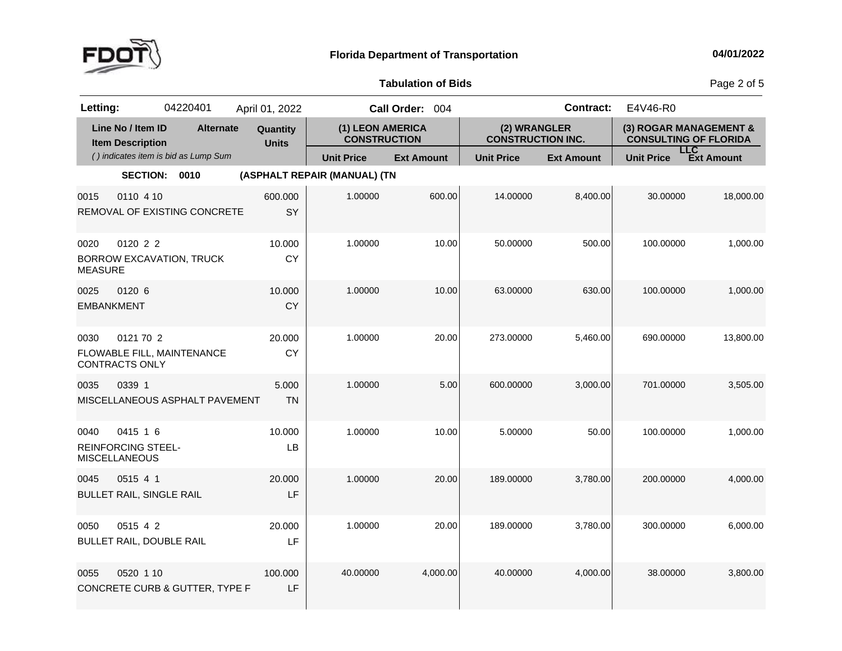

Page 2 of 5

| Letting:                  |                                                               | 04220401                             | April 01, 2022           |                                         | Call Order: 004   |                                          | <b>Contract:</b>  | E4V46-R0                                               |            |
|---------------------------|---------------------------------------------------------------|--------------------------------------|--------------------------|-----------------------------------------|-------------------|------------------------------------------|-------------------|--------------------------------------------------------|------------|
|                           | Line No / Item ID<br><b>Item Description</b>                  | <b>Alternate</b>                     | Quantity<br><b>Units</b> | (1) LEON AMERICA<br><b>CONSTRUCTION</b> |                   | (2) WRANGLER<br><b>CONSTRUCTION INC.</b> |                   | (3) ROGAR MANAGEMENT &<br><b>CONSULTING OF FLORIDA</b> |            |
|                           |                                                               | () indicates item is bid as Lump Sum |                          | <b>Unit Price</b>                       | <b>Ext Amount</b> | <b>Unit Price</b>                        | <b>Ext Amount</b> | <b>LLC</b><br><b>Unit Price</b>                        | Ext Amount |
|                           | <b>SECTION:</b>                                               | 0010                                 |                          | (ASPHALT REPAIR (MANUAL) (TN            |                   |                                          |                   |                                                        |            |
| 0015                      | 0110 4 10                                                     | REMOVAL OF EXISTING CONCRETE         | 600.000<br>SY            | 1.00000                                 | 600.00            | 14.00000                                 | 8,400.00          | 30.00000                                               | 18,000.00  |
| 0020<br><b>MEASURE</b>    | 0120 2 2                                                      | <b>BORROW EXCAVATION, TRUCK</b>      | 10.000<br><b>CY</b>      | 1.00000                                 | 10.00             | 50.00000                                 | 500.00            | 100.00000                                              | 1,000.00   |
| 0025<br><b>EMBANKMENT</b> | 0120 6                                                        |                                      | 10.000<br><b>CY</b>      | 1.00000                                 | 10.00             | 63.00000                                 | 630.00            | 100.00000                                              | 1,000.00   |
| 0030                      | 0121 70 2<br><b>CONTRACTS ONLY</b>                            | FLOWABLE FILL, MAINTENANCE           | 20.000<br><b>CY</b>      | 1.00000                                 | 20.00             | 273.00000                                | 5,460.00          | 690.00000                                              | 13,800.00  |
| 0035                      | 0339 1                                                        | MISCELLANEOUS ASPHALT PAVEMENT       | 5.000<br><b>TN</b>       | 1.00000                                 | 5.00              | 600.00000                                | 3,000.00          | 701.00000                                              | 3,505.00   |
| 0040                      | 0415 1 6<br><b>REINFORCING STEEL-</b><br><b>MISCELLANEOUS</b> |                                      | 10.000<br>LB             | 1.00000                                 | 10.00             | 5.00000                                  | 50.00             | 100.00000                                              | 1,000.00   |
| 0045                      | 0515 4 1<br><b>BULLET RAIL, SINGLE RAIL</b>                   |                                      | 20.000<br>LF             | 1.00000                                 | 20.00             | 189.00000                                | 3,780.00          | 200.00000                                              | 4,000.00   |
| 0050                      | 0515 4 2<br>BULLET RAIL, DOUBLE RAIL                          |                                      | 20.000<br>LF             | 1.00000                                 | 20.00             | 189.00000                                | 3,780.00          | 300.00000                                              | 6,000.00   |
| 0055                      | 0520 1 10                                                     | CONCRETE CURB & GUTTER, TYPE F       | 100.000<br>LF            | 40.00000                                | 4,000.00          | 40.00000                                 | 4,000.00          | 38.00000                                               | 3,800.00   |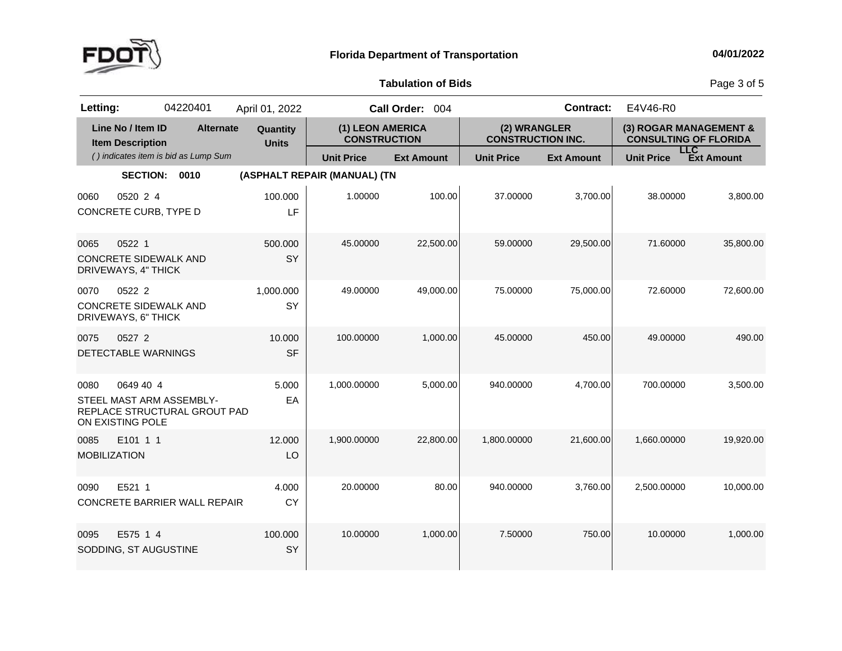

Page 3 of 5

| Letting:                    |                                                               | 04220401                                                 | April 01, 2022           |                                         | Call Order: 004   |                                          | <b>Contract:</b>  | E4V46-R0                     |                                 |
|-----------------------------|---------------------------------------------------------------|----------------------------------------------------------|--------------------------|-----------------------------------------|-------------------|------------------------------------------|-------------------|------------------------------|---------------------------------|
|                             | Line No / Item ID<br><b>Item Description</b>                  | <b>Alternate</b>                                         | Quantity<br><b>Units</b> | (1) LEON AMERICA<br><b>CONSTRUCTION</b> |                   | (2) WRANGLER<br><b>CONSTRUCTION INC.</b> |                   | <b>CONSULTING OF FLORIDA</b> | (3) ROGAR MANAGEMENT &          |
|                             |                                                               | () indicates item is bid as Lump Sum                     |                          | <b>Unit Price</b>                       | <b>Ext Amount</b> | <b>Unit Price</b>                        | <b>Ext Amount</b> | <b>Unit Price</b>            | <b>LLC</b><br><b>Ext Amount</b> |
|                             | <b>SECTION:</b>                                               | 0010                                                     |                          | (ASPHALT REPAIR (MANUAL) (TN            |                   |                                          |                   |                              |                                 |
| 0060                        | 0520 2 4<br>CONCRETE CURB, TYPE D                             |                                                          | 100.000<br>LF            | 1.00000                                 | 100.00            | 37.00000                                 | 3,700.00          | 38.00000                     | 3,800.00                        |
| 0065                        | 0522 1<br><b>CONCRETE SIDEWALK AND</b><br>DRIVEWAYS, 4" THICK |                                                          | 500.000<br>SY            | 45.00000                                | 22,500.00         | 59.00000                                 | 29,500.00         | 71.60000                     | 35,800.00                       |
| 0070                        | 0522 2<br><b>CONCRETE SIDEWALK AND</b><br>DRIVEWAYS, 6" THICK |                                                          | 1,000.000<br>SY          | 49.00000                                | 49,000.00         | 75.00000                                 | 75,000.00         | 72.60000                     | 72,600.00                       |
| 0075                        | 0527 2<br>DETECTABLE WARNINGS                                 |                                                          | 10.000<br><b>SF</b>      | 100.00000                               | 1,000.00          | 45.00000                                 | 450.00            | 49.00000                     | 490.00                          |
| 0080                        | 0649 40 4<br>ON EXISTING POLE                                 | STEEL MAST ARM ASSEMBLY-<br>REPLACE STRUCTURAL GROUT PAD | 5.000<br>EA              | 1,000.00000                             | 5,000.00          | 940.00000                                | 4,700.00          | 700.00000                    | 3,500.00                        |
| 0085<br><b>MOBILIZATION</b> | E101 1 1                                                      |                                                          | 12.000<br>LO             | 1,900.00000                             | 22,800.00         | 1,800.00000                              | 21,600.00         | 1,660.00000                  | 19,920.00                       |
| 0090                        | E521 1                                                        | CONCRETE BARRIER WALL REPAIR                             | 4.000<br><b>CY</b>       | 20.00000                                | 80.00             | 940.00000                                | 3,760.00          | 2,500.00000                  | 10,000.00                       |
| 0095                        | E575 1 4<br>SODDING, ST AUGUSTINE                             |                                                          | 100.000<br>SY            | 10.00000                                | 1,000.00          | 7.50000                                  | 750.00            | 10.00000                     | 1,000.00                        |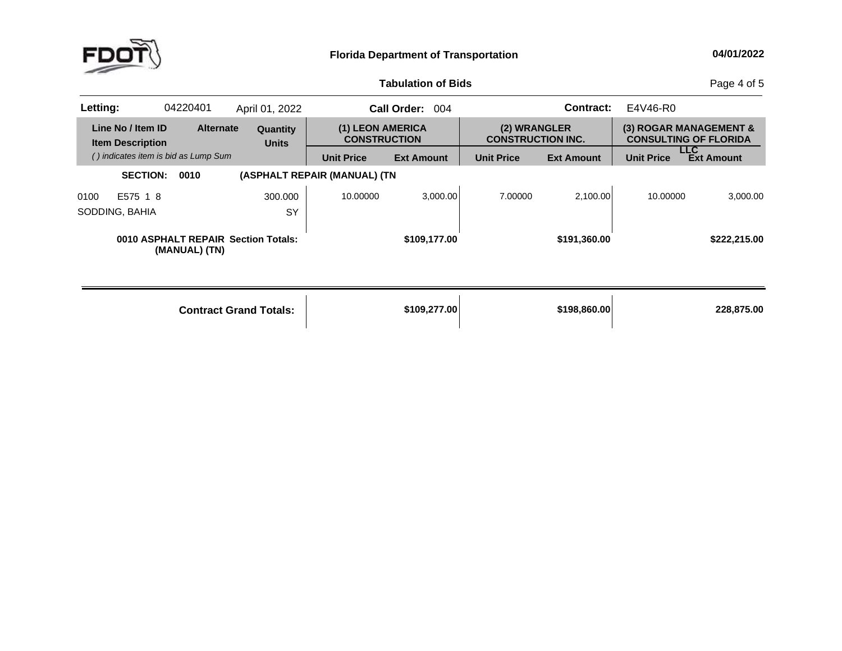

Page 4 of 5

| Letting: |                                              | 04220401         | April 01, 2022                      |                                         | <b>Call Order:</b><br>004 |                                          | Contract:         | E4V46-R0          |                                                        |
|----------|----------------------------------------------|------------------|-------------------------------------|-----------------------------------------|---------------------------|------------------------------------------|-------------------|-------------------|--------------------------------------------------------|
|          | Line No / Item ID<br><b>Item Description</b> | <b>Alternate</b> | Quantity<br><b>Units</b>            | (1) LEON AMERICA<br><b>CONSTRUCTION</b> |                           | (2) WRANGLER<br><b>CONSTRUCTION INC.</b> |                   |                   | (3) ROGAR MANAGEMENT &<br><b>CONSULTING OF FLORIDA</b> |
|          | () indicates item is bid as Lump Sum         |                  |                                     | <b>Unit Price</b>                       | <b>Ext Amount</b>         | <b>Unit Price</b>                        | <b>Ext Amount</b> | <b>Unit Price</b> | <b>LLC</b><br><b>Ext Amount</b>                        |
|          | <b>SECTION:</b>                              | 0010             |                                     | (ASPHALT REPAIR (MANUAL) (TN            |                           |                                          |                   |                   |                                                        |
| 0100     | E575 1 8                                     |                  | 300,000                             | 10.00000                                | 3,000.00                  | 7.00000                                  | 2.100.00          | 10.00000          | 3.000.00                                               |
|          | SODDING, BAHIA                               |                  | SY                                  |                                         |                           |                                          |                   |                   |                                                        |
|          |                                              | (MANUAL) (TN)    | 0010 ASPHALT REPAIR Section Totals: |                                         | \$109,177.00              |                                          | \$191.360.00      |                   | \$222,215.00                                           |

|  | <b>Contract Grand Totals:</b> | \$109,277.00 | \$198,860,00 | 228.875.00 |
|--|-------------------------------|--------------|--------------|------------|
|--|-------------------------------|--------------|--------------|------------|